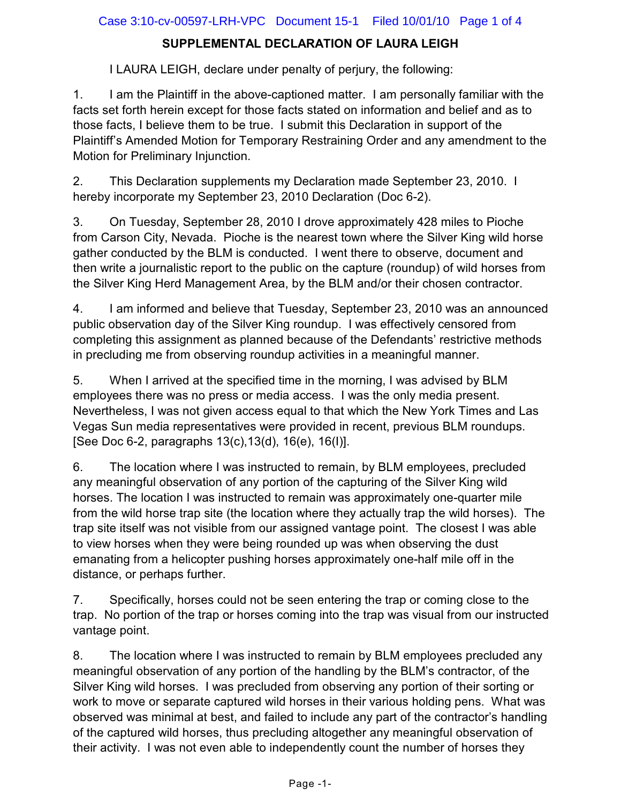## **SUPPLEMENTAL DECLARATION OF LAURA LEIGH**

I LAURA LEIGH, declare under penalty of perjury, the following:

1. I am the Plaintiff in the above-captioned matter. I am personally familiar with the facts set forth herein except for those facts stated on information and belief and as to those facts, I believe them to be true. I submit this Declaration in support of the Plaintiff's Amended Motion for Temporary Restraining Order and any amendment to the Motion for Preliminary Injunction.

2. This Declaration supplements my Declaration made September 23, 2010. I hereby incorporate my September 23, 2010 Declaration (Doc 6-2).

3. On Tuesday, September 28, 2010 I drove approximately 428 miles to Pioche from Carson City, Nevada. Pioche is the nearest town where the Silver King wild horse gather conducted by the BLM is conducted. I went there to observe, document and then write a journalistic report to the public on the capture (roundup) of wild horses from the Silver King Herd Management Area, by the BLM and/or their chosen contractor.

4. I am informed and believe that Tuesday, September 23, 2010 was an announced public observation day of the Silver King roundup. I was effectively censored from completing this assignment as planned because of the Defendants' restrictive methods in precluding me from observing roundup activities in a meaningful manner.

5. When I arrived at the specified time in the morning, I was advised by BLM employees there was no press or media access. I was the only media present. Nevertheless, I was not given access equal to that which the New York Times and Las Vegas Sun media representatives were provided in recent, previous BLM roundups. [See Doc 6-2, paragraphs 13(c),13(d), 16(e), 16(I)].

6. The location where I was instructed to remain, by BLM employees, precluded any meaningful observation of any portion of the capturing of the Silver King wild horses. The location I was instructed to remain was approximately one-quarter mile from the wild horse trap site (the location where they actually trap the wild horses). The trap site itself was not visible from our assigned vantage point. The closest I was able to view horses when they were being rounded up was when observing the dust emanating from a helicopter pushing horses approximately one-half mile off in the distance, or perhaps further.

7. Specifically, horses could not be seen entering the trap or coming close to the trap. No portion of the trap or horses coming into the trap was visual from our instructed vantage point.

8. The location where I was instructed to remain by BLM employees precluded any meaningful observation of any portion of the handling by the BLM's contractor, of the Silver King wild horses. I was precluded from observing any portion of their sorting or work to move or separate captured wild horses in their various holding pens. What was observed was minimal at best, and failed to include any part of the contractor's handling of the captured wild horses, thus precluding altogether any meaningful observation of their activity. I was not even able to independently count the number of horses they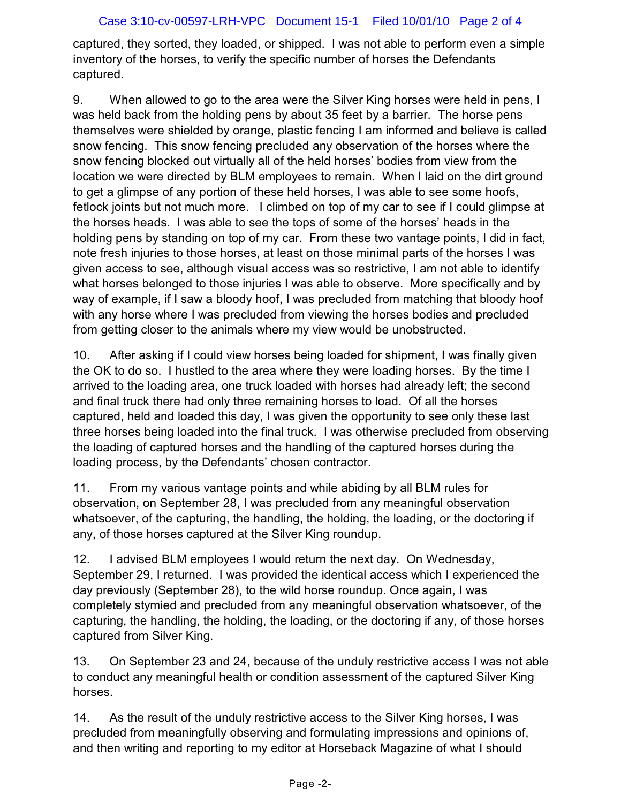captured, they sorted, they loaded, or shipped. I was not able to perform even a simple inventory of the horses, to verify the specific number of horses the Defendants captured.

9. When allowed to go to the area were the Silver King horses were held in pens, I was held back from the holding pens by about 35 feet by a barrier. The horse pens themselves were shielded by orange, plastic fencing I am informed and believe is called snow fencing. This snow fencing precluded any observation of the horses where the snow fencing blocked out virtually all of the held horses' bodies from view from the location we were directed by BLM employees to remain. When I laid on the dirt ground to get a glimpse of any portion of these held horses, I was able to see some hoofs, fetlock joints but not much more. I climbed on top of my car to see if I could glimpse at the horses heads. I was able to see the tops of some of the horses' heads in the holding pens by standing on top of my car. From these two vantage points, I did in fact, note fresh injuries to those horses, at least on those minimal parts of the horses I was given access to see, although visual access was so restrictive, I am not able to identify what horses belonged to those injuries I was able to observe. More specifically and by way of example, if I saw a bloody hoof, I was precluded from matching that bloody hoof with any horse where I was precluded from viewing the horses bodies and precluded from getting closer to the animals where my view would be unobstructed.

10. After asking if I could view horses being loaded for shipment, I was finally given the OK to do so. I hustled to the area where they were loading horses. By the time I arrived to the loading area, one truck loaded with horses had already left; the second and final truck there had only three remaining horses to load. Of all the horses captured, held and loaded this day, I was given the opportunity to see only these last three horses being loaded into the final truck. I was otherwise precluded from observing the loading of captured horses and the handling of the captured horses during the loading process, by the Defendants' chosen contractor.

11. From my various vantage points and while abiding by all BLM rules for observation, on September 28, I was precluded from any meaningful observation whatsoever, of the capturing, the handling, the holding, the loading, or the doctoring if any, of those horses captured at the Silver King roundup.

12. I advised BLM employees I would return the next day. On Wednesday, September 29, I returned. I was provided the identical access which I experienced the day previously (September 28), to the wild horse roundup. Once again, I was completely stymied and precluded from any meaningful observation whatsoever, of the capturing, the handling, the holding, the loading, or the doctoring if any, of those horses captured from Silver King.

13. On September 23 and 24, because of the unduly restrictive access I was not able to conduct any meaningful health or condition assessment of the captured Silver King horses.

14. As the result of the unduly restrictive access to the Silver King horses, I was precluded from meaningfully observing and formulating impressions and opinions of, and then writing and reporting to my editor at Horseback Magazine of what I should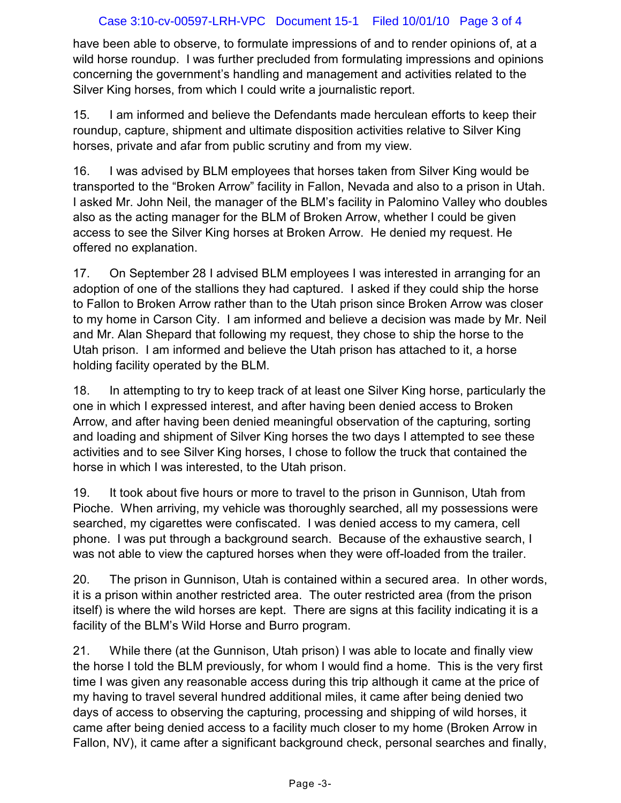## Case 3:10-cv-00597-LRH-VPC Document 15-1 Filed 10/01/10 Page 3 of 4

have been able to observe, to formulate impressions of and to render opinions of, at a wild horse roundup. I was further precluded from formulating impressions and opinions concerning the government's handling and management and activities related to the Silver King horses, from which I could write a journalistic report.

15. I am informed and believe the Defendants made herculean efforts to keep their roundup, capture, shipment and ultimate disposition activities relative to Silver King horses, private and afar from public scrutiny and from my view.

16. I was advised by BLM employees that horses taken from Silver King would be transported to the "Broken Arrow" facility in Fallon, Nevada and also to a prison in Utah. I asked Mr. John Neil, the manager of the BLM's facility in Palomino Valley who doubles also as the acting manager for the BLM of Broken Arrow, whether I could be given access to see the Silver King horses at Broken Arrow. He denied my request. He offered no explanation.

17. On September 28 I advised BLM employees I was interested in arranging for an adoption of one of the stallions they had captured. I asked if they could ship the horse to Fallon to Broken Arrow rather than to the Utah prison since Broken Arrow was closer to my home in Carson City. I am informed and believe a decision was made by Mr. Neil and Mr. Alan Shepard that following my request, they chose to ship the horse to the Utah prison. I am informed and believe the Utah prison has attached to it, a horse holding facility operated by the BLM.

18. In attempting to try to keep track of at least one Silver King horse, particularly the one in which I expressed interest, and after having been denied access to Broken Arrow, and after having been denied meaningful observation of the capturing, sorting and loading and shipment of Silver King horses the two days I attempted to see these activities and to see Silver King horses, I chose to follow the truck that contained the horse in which I was interested, to the Utah prison.

19. It took about five hours or more to travel to the prison in Gunnison, Utah from Pioche. When arriving, my vehicle was thoroughly searched, all my possessions were searched, my cigarettes were confiscated. I was denied access to my camera, cell phone. I was put through a background search. Because of the exhaustive search, I was not able to view the captured horses when they were off-loaded from the trailer.

20. The prison in Gunnison, Utah is contained within a secured area. In other words, it is a prison within another restricted area. The outer restricted area (from the prison itself) is where the wild horses are kept. There are signs at this facility indicating it is a facility of the BLM's Wild Horse and Burro program.

21. While there (at the Gunnison, Utah prison) I was able to locate and finally view the horse I told the BLM previously, for whom I would find a home. This is the very first time I was given any reasonable access during this trip although it came at the price of my having to travel several hundred additional miles, it came after being denied two days of access to observing the capturing, processing and shipping of wild horses, it came after being denied access to a facility much closer to my home (Broken Arrow in Fallon, NV), it came after a significant background check, personal searches and finally,